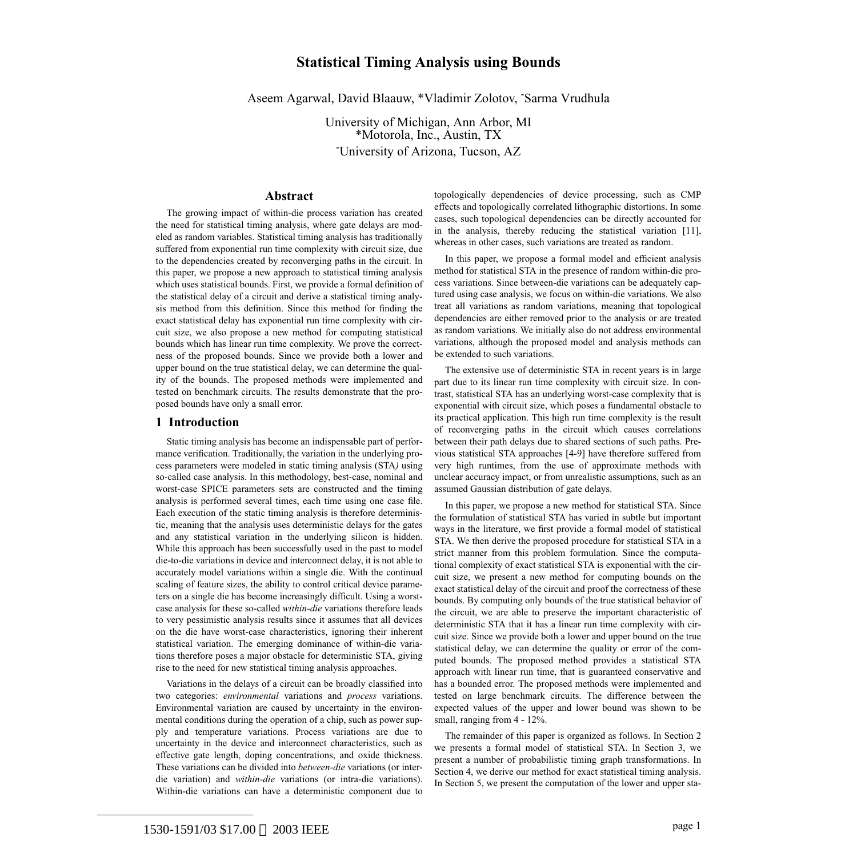# **Statistical Timing Analysis using Bounds**

Aseem Agarwal, David Blaauw, \*Vladimir Zolotov, - Sarma Vrudhula

University of Michigan, Ann Arbor, MI \*Motorola, Inc., Austin, TX - University of Arizona, Tucson, AZ

## **Abstract**

The growing impact of within-die process variation has created the need for statistical timing analysis, where gate delays are modeled as random variables. Statistical timing analysis has traditionally suffered from exponential run time complexity with circuit size, due to the dependencies created by reconverging paths in the circuit. In this paper, we propose a new approach to statistical timing analysis which uses statistical bounds. First, we provide a formal definition of the statistical delay of a circuit and derive a statistical timing analysis method from this definition. Since this method for finding the exact statistical delay has exponential run time complexity with circuit size, we also propose a new method for computing statistical bounds which has linear run time complexity. We prove the correctness of the proposed bounds. Since we provide both a lower and upper bound on the true statistical delay, we can determine the quality of the bounds. The proposed methods were implemented and tested on benchmark circuits. The results demonstrate that the proposed bounds have only a small error.

## **1 Introduction**

Static timing analysis has become an indispensable part of performance verification. Traditionally, the variation in the underlying process parameters were modeled in static timing analysis (STA*)* using so-called case analysis. In this methodology, best-case, nominal and worst-case SPICE parameters sets are constructed and the timing analysis is performed several times, each time using one case file. Each execution of the static timing analysis is therefore deterministic, meaning that the analysis uses deterministic delays for the gates and any statistical variation in the underlying silicon is hidden. While this approach has been successfully used in the past to model die-to-die variations in device and interconnect delay, it is not able to accurately model variations within a single die. With the continual scaling of feature sizes, the ability to control critical device parameters on a single die has become increasingly difficult. Using a worstcase analysis for these so-called *within-die* variations therefore leads to very pessimistic analysis results since it assumes that all devices on the die have worst-case characteristics, ignoring their inherent statistical variation. The emerging dominance of within-die variations therefore poses a major obstacle for deterministic STA, giving rise to the need for new statistical timing analysis approaches.

Variations in the delays of a circuit can be broadly classified into two categories: *environmental* variations and *process* variations. Environmental variation are caused by uncertainty in the environmental conditions during the operation of a chip, such as power supply and temperature variations. Process variations are due to uncertainty in the device and interconnect characteristics, such as effective gate length, doping concentrations, and oxide thickness. These variations can be divided into *between-die* variations (or interdie variation) and *within-die* variations (or intra-die variations). Within-die variations can have a deterministic component due to

topologically dependencies of device processing, such as CMP effects and topologically correlated lithographic distortions. In some cases, such topological dependencies can be directly accounted for in the analysis, thereby reducing the statistical variation [\[11\],](#page-5-2) whereas in other cases, such variations are treated as random.

In this paper, we propose a formal model and efficient analysis method for statistical STA in the presence of random within-die process variations. Since between-die variations can be adequately captured using case analysis, we focus on within-die variations. We also treat all variations as random variations, meaning that topological dependencies are either removed prior to the analysis or are treated as random variations. We initially also do not address environmental variations, although the proposed model and analysis methods can be extended to such variations.

The extensive use of deterministic STA in recent years is in large part due to its linear run time complexity with circuit size. In contrast, statistical STA has an underlying worst-case complexity that is exponential with circuit size, which poses a fundamental obstacle to its practical application. This high run time complexity is the result of reconverging paths in the circuit which causes correlations between their path delays due to shared sections of such paths. Previous statistical STA approaches [[4](#page-5-0)[-9\]](#page-5-1) have therefore suffered from very high runtimes, from the use of approximate methods with unclear accuracy impact, or from unrealistic assumptions, such as an assumed Gaussian distribution of gate delays.

In this paper, we propose a new method for statistical STA. Since the formulation of statistical STA has varied in subtle but important ways in the literature, we first provide a formal model of statistical STA. We then derive the proposed procedure for statistical STA in a strict manner from this problem formulation. Since the computational complexity of exact statistical STA is exponential with the circuit size, we present a new method for computing bounds on the exact statistical delay of the circuit and proof the correctness of these bounds. By computing only bounds of the true statistical behavior of the circuit, we are able to preserve the important characteristic of deterministic STA that it has a linear run time complexity with circuit size. Since we provide both a lower and upper bound on the true statistical delay, we can determine the quality or error of the computed bounds. The proposed method provides a statistical STA approach with linear run time, that is guaranteed conservative and has a bounded error. The proposed methods were implemented and tested on large benchmark circuits. The difference between the expected values of the upper and lower bound was shown to be small, ranging from 4 - 12%.

The remainder of this paper is organized as follows. In [Section 2](#page-1-0) we presents a formal model of statistical STA. In [Section 3](#page-2-0), we present a number of probabilistic timing graph transformations. In [Section 4](#page-2-1), we derive our method for exact statistical timing analysis. In [Section 5,](#page-3-0) we present the computation of the lower and upper sta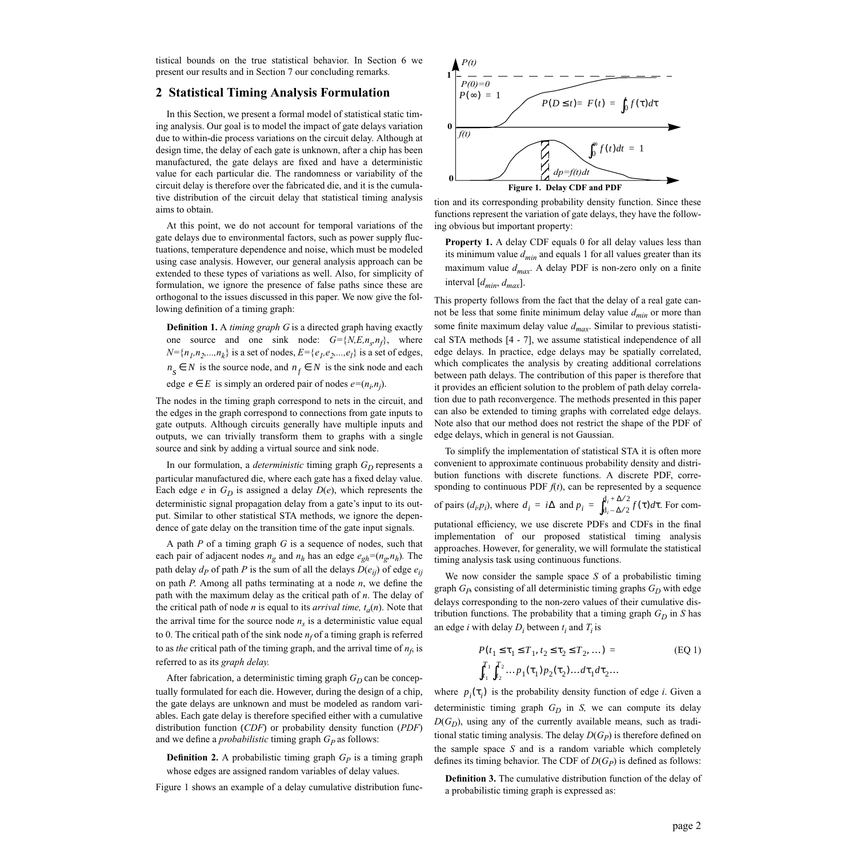tistical bounds on the true statistical behavior. In [Section 6](#page-5-3) we present our results and in [Section 7](#page-5-4) our concluding remarks.

## <span id="page-1-0"></span>**2 Statistical Timing Analysis Formulation**

In this Section, we present a formal model of statistical static timing analysis. Our goal is to model the impact of gate delays variation due to within-die process variations on the circuit delay. Although at design time, the delay of each gate is unknown, after a chip has been manufactured, the gate delays are fixed and have a deterministic value for each particular die. The randomness or variability of the circuit delay is therefore over the fabricated die, and it is the cumulative distribution of the circuit delay that statistical timing analysis aims to obtain.

At this point, we do not account for temporal variations of the gate delays due to environmental factors, such as power supply fluctuations, temperature dependence and noise, which must be modeled using case analysis. However, our general analysis approach can be extended to these types of variations as well. Also, for simplicity of formulation, we ignore the presence of false paths since these are orthogonal to the issues discussed in this paper. We now give the following definition of a timing graph:

**Definition 1.** A *timing graph G* is a directed graph having exactly one source and one sink node:  $G = \{N, E, n_s, n_f\}$ , where  $N = \{n_1, n_2, ..., n_k\}$  is a set of nodes,  $E = \{e_1, e_2, ..., e_l\}$  is a set of edges, *n<sub>s</sub>* ∈ *N* is the source node, and  $n_f$  ∈ *N* is the sink node and each

edge  $e \in E$  is simply an ordered pair of nodes  $e=(n_i, n_j)$ .

The nodes in the timing graph correspond to nets in the circuit, and the edges in the graph correspond to connections from gate inputs to gate outputs. Although circuits generally have multiple inputs and outputs, we can trivially transform them to graphs with a single source and sink by adding a virtual source and sink node.

In our formulation, a *deterministic* timing graph  $G_D$  represents a particular manufactured die, where each gate has a fixed delay value. Each edge *e* in  $G_D$  is assigned a delay  $D(e)$ , which represents the deterministic signal propagation delay from a gate's input to its output. Similar to other statistical STA methods, we ignore the dependence of gate delay on the transition time of the gate input signals.

A path *P* of a timing graph *G* is a sequence of nodes, such that each pair of adjacent nodes  $n_g$  and  $n_h$  has an edge  $e_{gh} = (n_g, n_h)$ . The path delay  $d_P$  of path *P* is the sum of all the delays  $D(e_{ij})$  of edge  $e_{ij}$ on path *P*. Among all paths terminating at a node *n*, we define the path with the maximum delay as the critical path of *n*. The delay of the critical path of node *n* is equal to its *arrival time,*  $t_a(n)$ . Note that the arrival time for the source node  $n<sub>s</sub>$  is a deterministic value equal to 0. The critical path of the sink node  $n_f$  of a timing graph is referred to as *the* critical path of the timing graph, and the arrival time of  $n_f$ , is referred to as its *graph delay.*

After fabrication, a deterministic timing graph  $G_D$  can be conceptually formulated for each die. However, during the design of a chip, the gate delays are unknown and must be modeled as random variables. Each gate delay is therefore specified either with a cumulative distribution function (*CDF*) or probability density function (*PDF*) and we define a *probabilistic* timing graph  $G_P$  as follows:

**Definition 2.** A probabilistic timing graph  $G_p$  is a timing graph whose edges are assigned random variables of delay values.

[Figure 1](#page-1-1) shows an example of a delay cumulative distribution func-



<span id="page-1-1"></span>tion and its corresponding probability density function. Since these functions represent the variation of gate delays, they have the following obvious but important property:

<span id="page-1-2"></span>**Property 1.** A delay CDF equals 0 for all delay values less than its minimum value *dmin* and equals 1 for all values greater than its maximum value  $d_{max}$ . A delay PDF is non-zero only on a finite interval [*dmin*, *dmax*].

This property follows from the fact that the delay of a real gate cannot be less that some finite minimum delay value  $d_{min}$  or more than some finite maximum delay value *dmax*. Similar to previous statistical STA methods [\[4](#page-5-0) - [7](#page-5-5)], we assume statistical independence of all edge delays. In practice, edge delays may be spatially correlated, which complicates the analysis by creating additional correlations between path delays. The contribution of this paper is therefore that it provides an efficient solution to the problem of path delay correlation due to path reconvergence. The methods presented in this paper can also be extended to timing graphs with correlated edge delays. Note also that our method does not restrict the shape of the PDF of edge delays, which in general is not Gaussian.

To simplify the implementation of statistical STA it is often more convenient to approximate continuous probability density and distribution functions with discrete functions. A discrete PDF, corresponding to continuous PDF  $f(t)$ , can be represented by a sequence of pairs  $(d_i, p_i)$ , where  $d_i = i\Delta$  and  $p_i = \int_{d_i - \Delta/2}^{d_i + \Delta/2} f(\tau) d\tau$ . For computational efficiency, we use discrete PDFs and CDFs in the final implementation of our proposed statistical timing analysis approaches. However, for generality, we will formulate the statistical timing analysis task using continuous functions.

We now consider the sample space *S* of a probabilistic timing graph  $G<sub>P</sub>$  consisting of all deterministic timing graphs  $G<sub>D</sub>$  with edge delays corresponding to the non-zero values of their cumulative distribution functions. The probability that a timing graph  $G_D$  in *S* has an edge *i* with delay  $D_i$  between  $t_i$  and  $T_i$  is

$$
P(t_1 \le \tau_1 \le T_1, t_2 \le \tau_2 \le T_2, ... ) =
$$
\n
$$
\int_{t_1}^{T_1} \int_{t_2}^{T_2} \dots p_1(\tau_1) p_2(\tau_2) \dots d\tau_1 d\tau_2 ...
$$
\n(EQ 1)

where  $p_i(\tau_i)$  is the probability density function of edge *i*. Given a deterministic timing graph  $G_D$  in  $S$ , we can compute its delay  $D(G_D)$ , using any of the currently available means, such as traditional static timing analysis. The delay  $D(G_P)$  is therefore defined on the sample space *S* and is a random variable which completely defines its timing behavior. The CDF of  $D(G_P)$  is defined as follows:

**Definition 3.** The cumulative distribution function of the delay of a probabilistic timing graph is expressed as: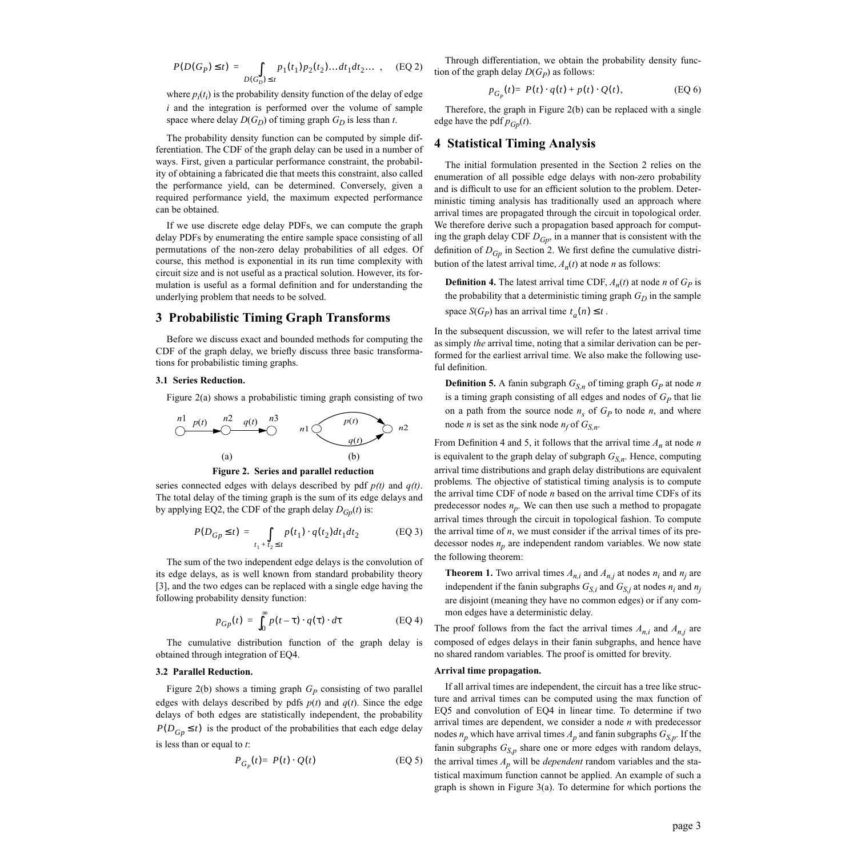<span id="page-2-3"></span>
$$
P(D(G_P) \le t) = \int_{D(G_D) \le t} p_1(t_1) p_2(t_2) \dots dt_1 dt_2 \dots , \quad (EQ 2)
$$

where  $p_i(t_i)$  is the probability density function of the delay of edge *i* and the integration is performed over the volume of sample space where delay  $D(G_D)$  of timing graph  $G_D$  is less than *t*.

The probability density function can be computed by simple differentiation. The CDF of the graph delay can be used in a number of ways. First, given a particular performance constraint, the probability of obtaining a fabricated die that meets this constraint, also called the performance yield, can be determined. Conversely, given a required performance yield, the maximum expected performance can be obtained.

If we use discrete edge delay PDFs, we can compute the graph delay PDFs by enumerating the entire sample space consisting of all permutations of the non-zero delay probabilities of all edges. Of course, this method is exponential in its run time complexity with circuit size and is not useful as a practical solution. However, its formulation is useful as a formal definition and for understanding the underlying problem that needs to be solved.

## <span id="page-2-0"></span>**3 Probabilistic Timing Graph Transforms**

Before we discuss exact and bounded methods for computing the CDF of the graph delay, we briefly discuss three basic transformations for probabilistic timing graphs.

#### **3.1 Series Reduction.**

[Figure 2\(](#page-2-2)a) shows a probabilistic timing graph consisting of two





<span id="page-2-2"></span>series connected edges with delays described by pdf *p(t)* and *q(t)*. The total delay of the timing graph is the sum of its edge delays and by applying [EQ2](#page-2-3), the CDF of the graph delay  $D_{Gp}(t)$  is:

$$
P(D_{Gp} \le t) = \int_{t_1 + t_2 \le t} p(t_1) \cdot q(t_2) dt_1 dt_2
$$
 (EQ 3)

<span id="page-2-4"></span>The sum of the two independent edge delays is the convolution of its edge delays, as is well known from standard probability theory [\[3\]](#page-5-6), and the two edges can be replaced with a single edge having the following probability density function:

$$
p_{Gp}(t) = \int_0^\infty p(t-\tau) \cdot q(\tau) \cdot d\tau \tag{EQ4}
$$

The cumulative distribution function of the graph delay is obtained through integration of [EQ4.](#page-2-4)

## **3.2 Parallel Reduction.**

<span id="page-2-7"></span>[Figure 2](#page-2-2)(b) shows a timing graph  $G_P$  consisting of two parallel edges with delays described by pdfs  $p(t)$  and  $q(t)$ . Since the edge delays of both edges are statistically independent, the probability  $P(D_{G_p} \leq t)$  is the product of the probabilities that each edge delay is less than or equal to *t*:

$$
P_{G_P}(t) = P(t) \cdot Q(t) \tag{EQ 5}
$$

Through differentiation, we obtain the probability density function of the graph delay  $D(G_P)$  as follows:

$$
p_{G_P}(t) = P(t) \cdot q(t) + p(t) \cdot Q(t), \tag{EQ 6}
$$

Therefore, the graph in [Figure 2\(](#page-2-2)b) can be replaced with a single edge have the pdf  $p_{Gp}(t)$ .

## <span id="page-2-1"></span>**4 Statistical Timing Analysis**

The initial formulation presented in the [Section 2](#page-1-0) relies on the enumeration of all possible edge delays with non-zero probability and is difficult to use for an efficient solution to the problem. Deterministic timing analysis has traditionally used an approach where arrival times are propagated through the circuit in topological order. We therefore derive such a propagation based approach for computing the graph delay CDF *DGp*, in a manner that is consistent with the definition of  $D_{G_p}$  in [Section 2](#page-1-0). We first define the cumulative distribution of the latest arrival time,  $A_n(t)$  at node *n* as follows:

<span id="page-2-5"></span>**Definition 4.** The latest arrival time CDF,  $A_n(t)$  at node *n* of  $G_p$  is the probability that a deterministic timing graph  $G_D$  in the sample space  $S(G_P)$  has an arrival time  $t_a(n) \leq t$ .

In the subsequent discussion, we will refer to the latest arrival time as simply *the* arrival time, noting that a similar derivation can be performed for the earliest arrival time. We also make the following useful definition.

<span id="page-2-6"></span>**Definition 5.** A fanin subgraph  $G_{S,n}$  of timing graph  $G_P$  at node *n* is a timing graph consisting of all edges and nodes of  $G_P$  that lie on a path from the source node  $n_s$  of  $G_p$  to node  $n_s$ , and where node *n* is set as the sink node  $n_f$  of  $G_{S,n}$ .

From [Definition 4](#page-2-5) and [5,](#page-2-6) it follows that the arrival time  $A_n$  at node *n* is equivalent to the graph delay of subgraph  $G_{S,n}$ . Hence, computing arrival time distributions and graph delay distributions are equivalent problems*.* The objective of statistical timing analysis is to compute the arrival time CDF of node *n* based on the arrival time CDFs of its predecessor nodes  $n_p$ . We can then use such a method to propagate arrival times through the circuit in topological fashion. To compute the arrival time of *n*, we must consider if the arrival times of its predecessor nodes  $n_p$  are independent random variables. We now state the following theorem:

**Theorem 1.** Two arrival times  $A_{n,i}$  and  $A_{n,j}$  at nodes  $n_i$  and  $n_j$  are independent if the fanin subgraphs  $G_{S,i}$  and  $G_{S,i}$  at nodes  $n_i$  and  $n_j$ are disjoint (meaning they have no common edges) or if any common edges have a deterministic delay.

The proof follows from the fact the arrival times  $A_{n,i}$  and  $A_{n,j}$  are composed of edges delays in their fanin subgraphs, and hence have no shared random variables. The proof is omitted for brevity.

#### **Arrival time propagation.**

If all arrival times are independent, the circuit has a tree like structure and arrival times can be computed using the max function of [EQ5](#page-2-7) and convolution of [EQ4](#page-2-4) in linear time. To determine if two arrival times are dependent, we consider a node *n* with predecessor nodes  $n_p$  which have arrival times  $A_p$  and fanin subgraphs  $G_{S,p}$ . If the fanin subgraphs  $G_{S,p}$  share one or more edges with random delays, the arrival times  $A_p$  will be *dependent* random variables and the statistical maximum function cannot be applied. An example of such a graph is shown in [Figure 3](#page-3-1)(a). To determine for which portions the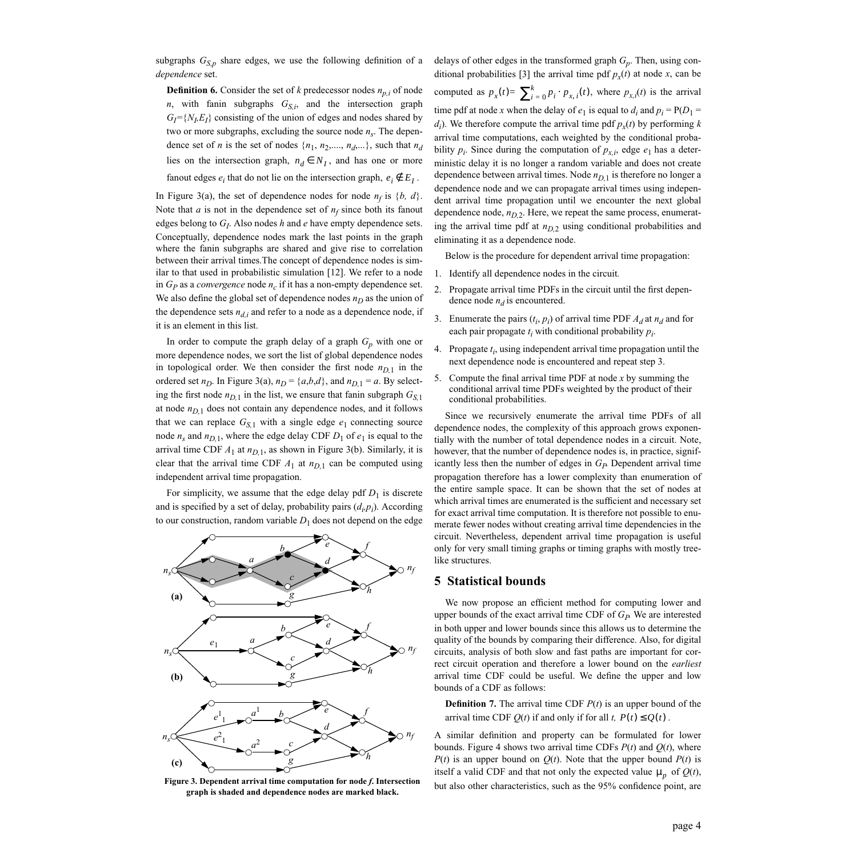subgraphs  $G_{S,p}$  share edges, we use the following definition of a *dependence* set.

**Definition 6.** Consider the set of *k* predecessor nodes  $n_{ni}$  of node *n*, with fanin subgraphs  $G_{S,i}$ , and the intersection graph  $G_I = \{N_L E_I\}$  consisting of the union of edges and nodes shared by two or more subgraphs, excluding the source node  $n<sub>s</sub>$ . The dependence set of *n* is the set of nodes  $\{n_1, n_2, \ldots, n_d, \ldots\}$ , such that  $n_d$ lies on the intersection graph,  $n_d \in N_I$ , and has one or more fanout edges  $e_i$  that do not lie on the intersection graph,  $e_i \notin E_I$ .

In [Figure 3](#page-3-1)(a), the set of dependence nodes for node  $n_f$  is  $\{b, d\}$ . Note that  $a$  is not in the dependence set of  $n_f$  since both its fanout edges belong to *GI*. Also nodes *h* and *e* have empty dependence sets. Conceptually, dependence nodes mark the last points in the graph where the fanin subgraphs are shared and give rise to correlation between their arrival times.The concept of dependence nodes is similar to that used in probabilistic simulation [\[12\]](#page-5-7). We refer to a node in  $G_P$  as a *convergence* node  $n_c$  if it has a non-empty dependence set. We also define the global set of dependence nodes  $n<sub>D</sub>$  as the union of the dependence sets  $n_{d,i}$  and refer to a node as a dependence node, if it is an element in this list.

In order to compute the graph delay of a graph  $G_p$  with one or more dependence nodes, we sort the list of global dependence nodes in topological order. We then consider the first node  $n_{D,1}$  in the ordered set  $n_D$ . In [Figure 3](#page-3-1)(a),  $n_D = \{a,b,d\}$ , and  $n_{D,1} = a$ . By selecting the first node  $n_{D,1}$  in the list, we ensure that fanin subgraph  $G_{S,1}$ at node  $n_{D,1}$  does not contain any dependence nodes, and it follows that we can replace  $G_{S,1}$  with a single edge  $e_1$  connecting source node  $n_s$  and  $n_{D,1}$ , where the edge delay CDF  $D_1$  of  $e_1$  is equal to the arrival time CDF  $A_1$  at  $n_{D,1}$ , as shown in [Figure 3](#page-3-1)(b). Similarly, it is clear that the arrival time CDF  $A_1$  at  $n_{D,1}$  can be computed using independent arrival time propagation.

For simplicity, we assume that the edge delay pdf  $D_1$  is discrete and is specified by a set of delay, probability pairs  $(d_i, p_i)$ . According to our construction, random variable  $D_1$  does not depend on the edge



<span id="page-3-1"></span>**graph is shaded and dependence nodes are marked black.**

delays of other edges in the transformed graph *Gp*. Then, using con-ditional probabilities [\[3\]](#page-5-6) the arrival time pdf  $p_x(t)$  at node *x*, can be computed as  $p_x(t) = \sum_{i=0}^{k} p_i \cdot p_{x,i}(t)$ , where  $p_{x,i}(t)$  is the arrival time pdf at node *x* when the delay of  $e_1$  is equal to  $d_i$  and  $p_i = P(D_1 =$ *d*<sub>*i*</sub>). We therefore compute the arrival time pdf  $p_x(t)$  by performing *k* arrival time computations, each weighted by the conditional probability  $p_i$ . Since during the computation of  $p_{x,i}$ , edge  $e_1$  has a deterministic delay it is no longer a random variable and does not create dependence between arrival times. Node  $n_{D,1}$  is therefore no longer a dependence node and we can propagate arrival times using independent arrival time propagation until we encounter the next global dependence node,  $n_{D,2}$ . Here, we repeat the same process, enumerating the arrival time pdf at  $n_{D,2}$  using conditional probabilities and eliminating it as a dependence node.

Below is the procedure for dependent arrival time propagation:

- 1. Identify all dependence nodes in the circuit*.*
- 2. Propagate arrival time PDFs in the circuit until the first dependence node  $n_d$  is encountered.
- 3. Enumerate the pairs  $(t_i, p_i)$  of arrival time PDF  $A_d$  at  $n_d$  and for each pair propagate  $t_i$  with conditional probability  $p_i$ .
- 4. Propagate  $t_i$ , using independent arrival time propagation until the next dependence node is encountered and repeat step 3.
- 5. Compute the final arrival time PDF at node *x* by summing the conditional arrival time PDFs weighted by the product of their conditional probabilities.

Since we recursively enumerate the arrival time PDFs of all dependence nodes, the complexity of this approach grows exponentially with the number of total dependence nodes in a circuit. Note, however, that the number of dependence nodes is, in practice, significantly less then the number of edges in  $G_P$  Dependent arrival time propagation therefore has a lower complexity than enumeration of the entire sample space. It can be shown that the set of nodes at which arrival times are enumerated is the sufficient and necessary set for exact arrival time computation. It is therefore not possible to enumerate fewer nodes without creating arrival time dependencies in the circuit. Nevertheless, dependent arrival time propagation is useful only for very small timing graphs or timing graphs with mostly treelike structures.

## <span id="page-3-0"></span>**5 Statistical bounds**

We now propose an efficient method for computing lower and upper bounds of the exact arrival time CDF of  $G_P$ . We are interested in both upper and lower bounds since this allows us to determine the quality of the bounds by comparing their difference. Also, for digital circuits, analysis of both slow and fast paths are important for correct circuit operation and therefore a lower bound on the *earliest* arrival time CDF could be useful. We define the upper and low bounds of a CDF as follows:

**Definition 7.** The arrival time CDF  $P(t)$  is an upper bound of the arrival time CDF  $Q(t)$  if and only if for all *t*,  $P(t) \leq Q(t)$ .

A similar definition and property can be formulated for lower bounds. [Figure 4](#page-4-0) shows two arrival time CDFs  $P(t)$  and  $Q(t)$ , where  $P(t)$  is an upper bound on  $Q(t)$ . Note that the upper bound  $P(t)$  is itself a valid CDF and that not only the expected value  $\mu_p$  of  $Q(t)$ , **but also other characteristics, such as the 95% confidence point, are** *right***y and <b>F** and **F** and **F** and **F** and **F** are **F** and **F** and **F** and **F** and **F** and **F** and **F** and **F** and **F** and **F** and **F** and **F** and **F**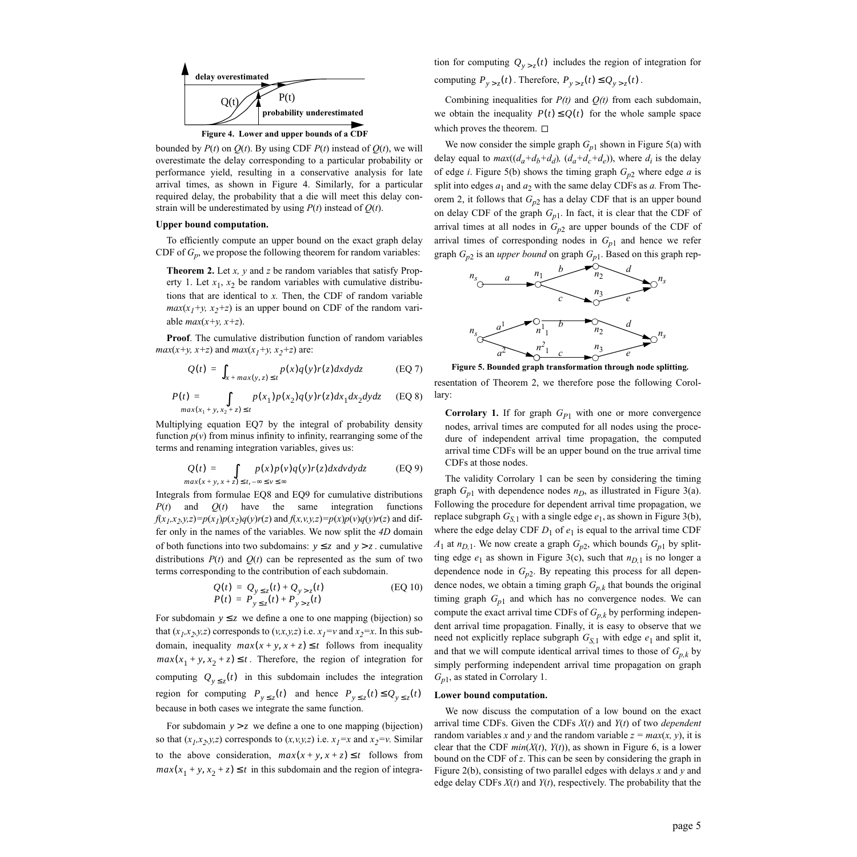

<span id="page-4-0"></span>bounded by  $P(t)$  on  $Q(t)$ . By using CDF  $P(t)$  instead of  $Q(t)$ , we will overestimate the delay corresponding to a particular probability or performance yield, resulting in a conservative analysis for late arrival times, as shown in [Figure 4](#page-4-0). Similarly, for a particular required delay, the probability that a die will meet this delay con-

strain will be underestimated by using  $P(t)$  instead of  $Q(t)$ .

#### **Upper bound computation.**

To efficiently compute an upper bound on the exact graph delay CDF of  $G_p$ , we propose the following theorem for random variables:

<span id="page-4-5"></span>**Theorem 2.** Let *x, y* and *z* be random variables that satisfy [Prop](#page-1-2)[erty 1.](#page-1-2) Let  $x_1, x_2$  be random variables with cumulative distributions that are identical to *x.* Then, the CDF of random variable  $max(x_1+y, x_2+z)$  is an upper bound on CDF of the random variable  $max(x+y, x+z)$ .

<span id="page-4-1"></span>**Proof**. The cumulative distribution function of random variables *max*(*x*+*y*, *x*+*z*) and *max*(*x*<sub>1</sub>+*y*, *x*<sub>2</sub>+*z*) are:

$$
Q(t) = \int_{x + max(y, z) \le t} p(x)q(y)r(z)dxdydz
$$
 (EQ7)

<span id="page-4-2"></span>
$$
P(t) = \int_{max(x_1+y, x_2+z) \le t} p(x_1) p(x_2) q(y) r(z) dx_1 dx_2 dy dz
$$
 (EQ 8)

<span id="page-4-3"></span>Multiplying equation [EQ7](#page-4-1) by the integral of probability density function  $p(v)$  from minus infinity to infinity, rearranging some of the terms and renaming integration variables, gives us:

$$
Q(t) = \int_{max(x+y, x+z) \le t, -\infty \le v \le \infty} p(x)p(v)q(y)r(z)dxdvdydz
$$
 (EQ 9)

Integrals from formulae [EQ8](#page-4-2) and [EQ9](#page-4-3) for cumulative distributions  $P(t)$  and  $Q(t)$  have the same integration functions  $f(x_1, x_2, y, z) = p(x_1)p(x_2)q(y)r(z)$  and  $f(x, y, y, z) = p(x)p(y)q(y)r(z)$  and differ only in the names of the variables. We now split the *4D* domain of both functions into two subdomains:  $y \le z$  and  $y > z$ . cumulative distributions  $P(t)$  and  $Q(t)$  can be represented as the sum of two terms corresponding to the contribution of each subdomain.

$$
Q(t) = Q_{y \le z}(t) + Q_{y > z}(t)
$$
  
\n
$$
P(t) = P_{y \le z}(t) + P_{y > z}(t)
$$
 (EQ 10)

For subdomain  $y \leq z$  we define a one to one mapping (bijection) so that  $(x_1, x_2, y, z)$  corresponds to  $(y, x, y, z)$  i.e.  $x_1 = v$  and  $x_2 = x$ . In this subdomain, inequality  $max(x + y, x + z) \le t$  follows from inequality  $max(x_1 + y, x_2 + z) \le t$ . Therefore, the region of integration for computing  $Q_{y \leq z}(t)$  in this subdomain includes the integration region for computing  $P_{y \le z}(t)$  and hence  $P_{y \le z}(t) \le Q_{y \le z}(t)$ because in both cases we integrate the same function.

For subdomain  $y > z$  we define a one to one mapping (bijection) so that  $(x_1, x_2, y, z)$  corresponds to  $(x, y, z)$  i.e.  $x_1=x$  and  $x_2=y$ . Similar to the above consideration,  $max(x + y, x + z) \le t$  follows from  $max(x_1 + y, x_2 + z) \le t$  in this subdomain and the region of integration for computing  $Q_{y > z}(t)$  includes the region of integration for computing  $P_{y > z}(t)$ . Therefore,  $P_{y > z}(t) \le Q_{y > z}(t)$ .

Combining inequalities for  $P(t)$  and  $Q(t)$  from each subdomain, we obtain the inequality  $P(t) \leq Q(t)$  for the whole sample space which proves the theorem.  $\Box$ 

We now consider the simple graph  $G_{p1}$  shown in [Figure 5\(](#page-4-4)a) with delay equal to  $max((d_a+d_b+d_d), (d_a+d_c+d_e))$ , where  $d_i$  is the delay of edge *i*. [Figure 5](#page-4-4)(b) shows the timing graph  $G_{p2}$  where edge *a* is split into edges  $a_1$  and  $a_2$  with the same delay CDFs as  $a$ . From [The](#page-4-5)[orem 2](#page-4-5), it follows that  $G_{p2}$  has a delay CDF that is an upper bound on delay CDF of the graph  $G_{p1}$ . In fact, it is clear that the CDF of arrival times at all nodes in  $G_{n2}$  are upper bounds of the CDF of arrival times of corresponding nodes in *Gp*<sup>1</sup> and hence we refer graph  $G_{p2}$  is an *upper bound* on graph  $G_{p1}$ . Based on this graph rep-



<span id="page-4-4"></span>resentation of [Theorem 2,](#page-4-5) we therefore pose the following Corollary:

<span id="page-4-6"></span>**Corrolary 1.** If for graph  $G_{P1}$  with one or more convergence nodes, arrival times are computed for all nodes using the procedure of independent arrival time propagation, the computed arrival time CDFs will be an upper bound on the true arrival time CDFs at those nodes.

The validity [Corrolary 1](#page-4-6) can be seen by considering the timing graph  $G_{p1}$  with dependence nodes  $n_D$ , as illustrated in [Figure 3\(](#page-3-1)a). Following the procedure for dependent arrival time propagation, we replace subgraph  $G_{S,1}$  with a single edge  $e_1$ , as shown in [Figure 3](#page-3-1)(b), where the edge delay CDF  $D_1$  of  $e_1$  is equal to the arrival time CDF  $A_1$  at  $n_{D,1}$ . We now create a graph  $G_{p2}$ , which bounds  $G_{p1}$  by splitting edge  $e_1$  as shown in [Figure 3\(](#page-3-1)c), such that  $n_{D,1}$  is no longer a dependence node in  $G_{p2}$ . By repeating this process for all dependence nodes, we obtain a timing graph  $G_{p,k}$  that bounds the original timing graph  $G_{p1}$  and which has no convergence nodes. We can compute the exact arrival time CDFs of  $G_{p,k}$  by performing independent arrival time propagation. Finally, it is easy to observe that we need not explicitly replace subgraph  $G_{S,1}$  with edge  $e_1$  and split it, and that we will compute identical arrival times to those of  $G_{p,k}$  by simply performing independent arrival time propagation on graph *Gp*1, as stated in [Corrolary 1.](#page-4-6)

#### **Lower bound computation.**

We now discuss the computation of a low bound on the exact arrival time CDFs. Given the CDFs *X*(*t*) and *Y*(*t*) of two *dependent* random variables *x* and *y* and the random variable  $z = max(x, y)$ , it is clear that the CDF  $min(X(t), Y(t))$ , as shown in [Figure 6,](#page-5-8) is a lower bound on the CDF of *z*. This can be seen by considering the graph in [Figure 2\(](#page-2-2)b), consisting of two parallel edges with delays *x* and *y* and edge delay CDFs *X*(*t*) and *Y*(*t*), respectively. The probability that the